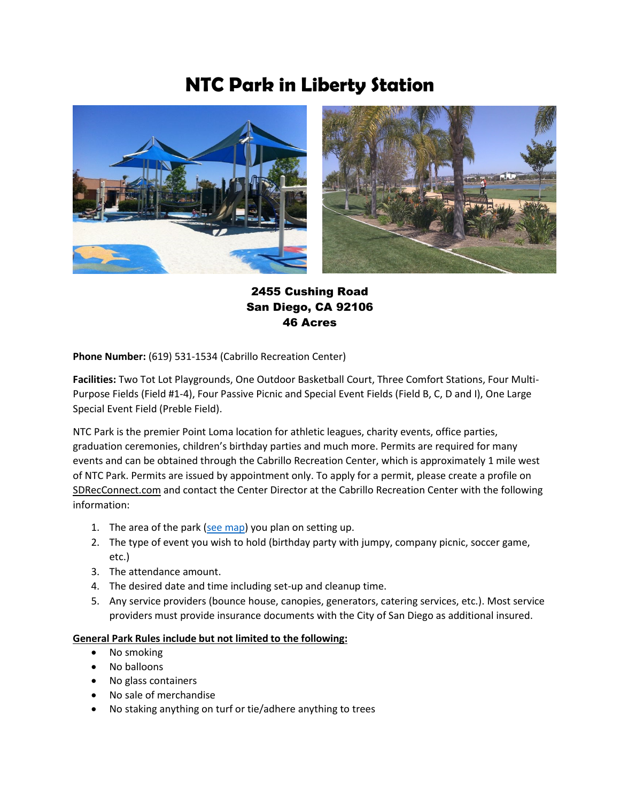## **NTC Park in Liberty Station**



## 2455 Cushing Road San Diego, CA 92106 46 Acres

**Phone Number:** (619) 531-1534 (Cabrillo Recreation Center)

**Facilities:** Two Tot Lot Playgrounds, One Outdoor Basketball Court, Three Comfort Stations, Four Multi-Purpose Fields (Field #1-4), Four Passive Picnic and Special Event Fields (Field B, C, D and I), One Large Special Event Field (Preble Field).

NTC Park is the premier Point Loma location for athletic leagues, charity events, office parties, graduation ceremonies, children's birthday parties and much more. Permits are required for many events and can be obtained through the Cabrillo Recreation Center, which is approximately 1 mile west of NTC Park. Permits are issued by appointment only. To apply for a permit, please create a profile on SDRecConnect.com and contact the Center Director at the Cabrillo Recreation Center with the following information:

- 1. The area of the park [\(see map\)](http://www.sandiego.gov/sites/default/files/ntc_park_map.pdf) you plan on setting up.
- 2. The type of event you wish to hold (birthday party with jumpy, company picnic, soccer game, etc.)
- 3. The attendance amount.
- 4. The desired date and time including set-up and cleanup time.
- 5. Any service providers (bounce house, canopies, generators, catering services, etc.). Most service providers must provide insurance documents with the City of San Diego as additional insured.

## **General Park Rules include but not limited to the following:**

- No smoking
- No balloons
- No glass containers
- No sale of merchandise
- No staking anything on turf or tie/adhere anything to trees